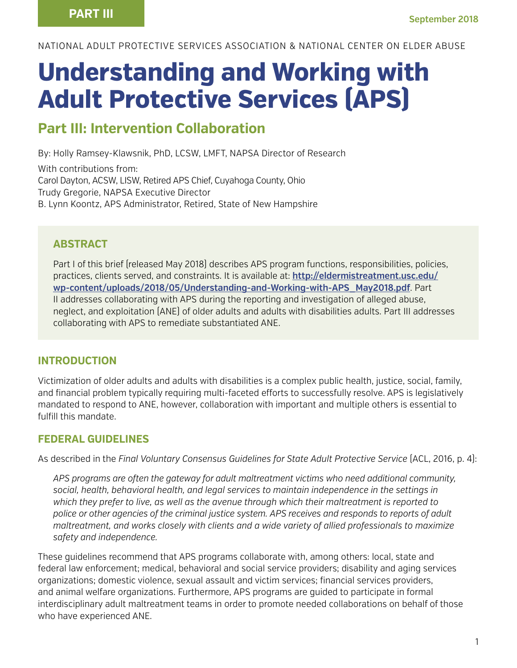NATIONAL ADULT PROTECTIVE SERVICES ASSOCIATION & NATIONAL CENTER ON ELDER ABUSE

# **Understanding and Working with Adult Protective Services (APS)**

## **Part III: Intervention Collaboration**

By: Holly Ramsey-Klawsnik, PhD, LCSW, LMFT, NAPSA Director of Research

With contributions from: Carol Dayton, ACSW, LISW, Retired APS Chief, Cuyahoga County, Ohio Trudy Gregorie, NAPSA Executive Director B. Lynn Koontz, APS Administrator, Retired, State of New Hampshire

### **ABSTRACT**

Part I of this brief (released May 2018) describes APS program functions, responsibilities, policies, practices, clients served, and constraints. It is available at: **[http://eldermistreatment.usc.edu/](http://eldermistreatment.usc.edu/wp-content/uploads/2018/05/Understanding-and-Working-with-APS_May2018.pdf) [wp-content/uploads/2018/05/Understanding-and-Working-with-APS\\_May2018.pdf](http://eldermistreatment.usc.edu/wp-content/uploads/2018/05/Understanding-and-Working-with-APS_May2018.pdf)**. Part II addresses collaborating with APS during the reporting and investigation of alleged abuse, neglect, and exploitation (ANE) of older adults and adults with disabilities adults. Part III addresses collaborating with APS to remediate substantiated ANE.

### **INTRODUCTION**

Victimization of older adults and adults with disabilities is a complex public health, justice, social, family, and financial problem typically requiring multi-faceted efforts to successfully resolve. APS is legislatively mandated to respond to ANE, however, collaboration with important and multiple others is essential to fulfill this mandate.

### **FEDERAL GUIDELINES**

As described in the *Final Voluntary Consensus Guidelines for State Adult Protective Service* (ACL, 2016, p. 4):

*APS programs are often the gateway for adult maltreatment victims who need additional community, social, health, behavioral health, and legal services to maintain independence in the settings in which they prefer to live, as well as the avenue through which their maltreatment is reported to police or other agencies of the criminal justice system. APS receives and responds to reports of adult maltreatment, and works closely with clients and a wide variety of allied professionals to maximize safety and independence.*

These guidelines recommend that APS programs collaborate with, among others: local, state and federal law enforcement; medical, behavioral and social service providers; disability and aging services organizations; domestic violence, sexual assault and victim services; financial services providers, and animal welfare organizations. Furthermore, APS programs are guided to participate in formal interdisciplinary adult maltreatment teams in order to promote needed collaborations on behalf of those who have experienced ANE.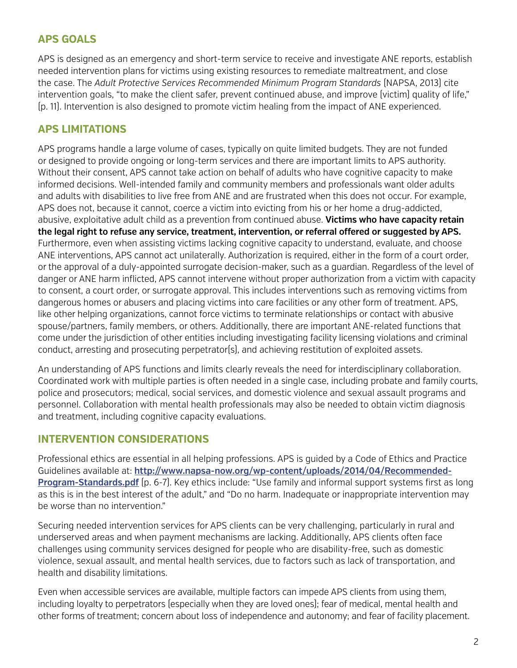## **APS GOALS**

APS is designed as an emergency and short-term service to receive and investigate ANE reports, establish needed intervention plans for victims using existing resources to remediate maltreatment, and close the case. The *Adult Protective Services Recommended Minimum Program Standards* (NAPSA, 2013) cite intervention goals, "to make the client safer, prevent continued abuse, and improve (victim) quality of life," (p. 11). Intervention is also designed to promote victim healing from the impact of ANE experienced.

## **APS LIMITATIONS**

APS programs handle a large volume of cases, typically on quite limited budgets. They are not funded or designed to provide ongoing or long-term services and there are important limits to APS authority. Without their consent, APS cannot take action on behalf of adults who have cognitive capacity to make informed decisions. Well-intended family and community members and professionals want older adults and adults with disabilities to live free from ANE and are frustrated when this does not occur. For example, APS does not, because it cannot, coerce a victim into evicting from his or her home a drug-addicted, abusive, exploitative adult child as a prevention from continued abuse. **Victims who have capacity retain the legal right to refuse any service, treatment, intervention, or referral offered or suggested by APS.** Furthermore, even when assisting victims lacking cognitive capacity to understand, evaluate, and choose ANE interventions, APS cannot act unilaterally. Authorization is required, either in the form of a court order, or the approval of a duly-appointed surrogate decision-maker, such as a guardian. Regardless of the level of danger or ANE harm inflicted, APS cannot intervene without proper authorization from a victim with capacity to consent, a court order, or surrogate approval. This includes interventions such as removing victims from dangerous homes or abusers and placing victims into care facilities or any other form of treatment. APS, like other helping organizations, cannot force victims to terminate relationships or contact with abusive spouse/partners, family members, or others. Additionally, there are important ANE-related functions that come under the jurisdiction of other entities including investigating facility licensing violations and criminal conduct, arresting and prosecuting perpetrator(s), and achieving restitution of exploited assets.

An understanding of APS functions and limits clearly reveals the need for interdisciplinary collaboration. Coordinated work with multiple parties is often needed in a single case, including probate and family courts, police and prosecutors; medical, social services, and domestic violence and sexual assault programs and personnel. Collaboration with mental health professionals may also be needed to obtain victim diagnosis and treatment, including cognitive capacity evaluations.

## **INTERVENTION CONSIDERATIONS**

Professional ethics are essential in all helping professions. APS is guided by a Code of Ethics and Practice Guidelines available at: **http://www.napsa-now.org/wp-content/uploads/2014/04/Recommended-Program-Standards.pdf** (p. 6-7). Key ethics include: "Use family and informal support systems first as long as this is in the best interest of the adult," and "Do no harm. Inadequate or inappropriate intervention may be worse than no intervention."

Securing needed intervention services for APS clients can be very challenging, particularly in rural and underserved areas and when payment mechanisms are lacking. Additionally, APS clients often face challenges using community services designed for people who are disability-free, such as domestic violence, sexual assault, and mental health services, due to factors such as lack of transportation, and health and disability limitations.

Even when accessible services are available, multiple factors can impede APS clients from using them, including loyalty to perpetrators (especially when they are loved ones); fear of medical, mental health and other forms of treatment; concern about loss of independence and autonomy; and fear of facility placement.